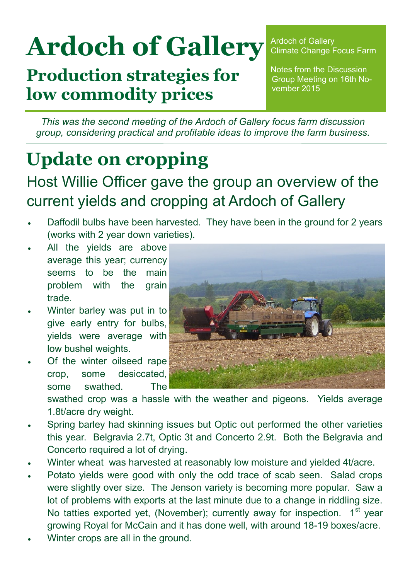# **Ardoch of Gallery**

**Production strategies for low commodity prices**

Ardoch of Gallery Climate Change Focus Farm

Notes from the Discussion Group Meeting on 16th November 2015

*This was the second meeting of the Ardoch of Gallery focus farm discussion group, considering practical and profitable ideas to improve the farm business.* 

# **Update on cropping**

## Host Willie Officer gave the group an overview of the current yields and cropping at Ardoch of Gallery

- Daffodil bulbs have been harvested. They have been in the ground for 2 years (works with 2 year down varieties).
- All the yields are above average this year; currency seems to be the main problem with the grain trade.
- Winter barley was put in to give early entry for bulbs, yields were average with low bushel weights.
- Of the winter oilseed rape crop, some desiccated, some swathed. The



swathed crop was a hassle with the weather and pigeons. Yields average 1.8t/acre dry weight.

- Spring barley had skinning issues but Optic out performed the other varieties this year. Belgravia 2.7t, Optic 3t and Concerto 2.9t. Both the Belgravia and Concerto required a lot of drying.
- Winter wheat was harvested at reasonably low moisture and yielded 4t/acre.
- Potato yields were good with only the odd trace of scab seen. Salad crops were slightly over size. The Jenson variety is becoming more popular. Saw a lot of problems with exports at the last minute due to a change in riddling size. No tatties exported yet, (November); currently away for inspection. 1<sup>st</sup> year growing Royal for McCain and it has done well, with around 18-19 boxes/acre.
- Winter crops are all in the ground.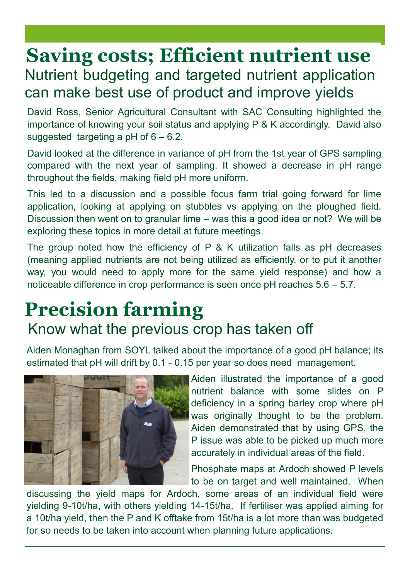## **Saving costs; Efficient nutrient use** Nutrient budgeting and targeted nutrient application can make best use of product and improve yields

David Ross, Senior Agricultural Consultant with SAC Consulting highlighted the importance of knowing your soil status and applying P & K accordingly. David also suggested targeting a  $pH$  of  $6 - 6.2$ .

David looked at the difference in variance of pH from the 1st year of GPS sampling compared with the next year of sampling. It showed a decrease in pH range throughout the fields, making field pH more uniform.

This led to a discussion and a possible focus farm trial going forward for lime application, looking at applying on stubbles vs applying on the ploughed field. Discussion then went on to granular lime – was this a good idea or not? We will be exploring these topics in more detail at future meetings.

The group noted how the efficiency of P & K utilization falls as pH decreases (meaning applied nutrients are not being utilized as efficiently, or to put it another way, you would need to apply more for the same yield response) and how a noticeable difference in crop performance is seen once pH reaches 5.6 – 5.7.

## **Precision farming** Know what the previous crop has taken off

Aiden Monaghan from SOYL talked about the importance of a good pH balance; its estimated that pH will drift by 0.1 - 0.15 per year so does need management.



Aiden illustrated the importance of a good nutrient balance with some slides on P deficiency in a spring barley crop where pH was originally thought to be the problem. Aiden demonstrated that by using GPS, the P issue was able to be picked up much more accurately in individual areas of the field.

Phosphate maps at Ardoch showed P levels to be on target and well maintained. When

discussing the yield maps for Ardoch, some areas of an individual field were yielding 9-10t/ha, with others yielding 14-15t/ha. If fertiliser was applied aiming for a 10t/ha yield, then the P and K offtake from 15t/ha is a lot more than was budgeted for so needs to be taken into account when planning future applications.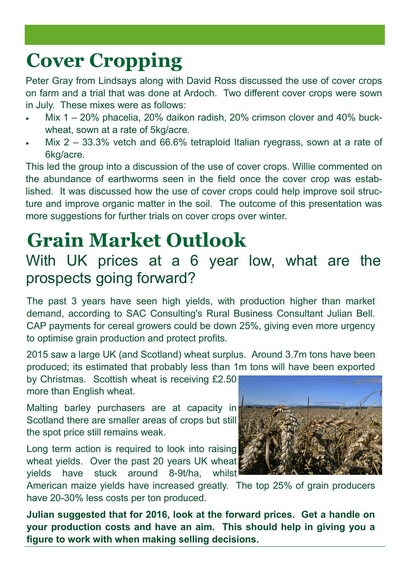# **Cover Cropping**

Peter Gray from Lindsays along with David Ross discussed the use of cover crops on farm and a trial that was done at Ardoch. Two different cover crops were sown in July. These mixes were as follows:

- Mix 1 20% phacelia, 20% daikon radish, 20% crimson clover and 40% buckwheat, sown at a rate of 5kg/acre.
- Mix 2 33.3% vetch and 66.6% tetraploid Italian ryegrass, sown at a rate of 6kg/acre.

This led the group into a discussion of the use of cover crops. Willie commented on the abundance of earthworms seen in the field once the cover crop was established. It was discussed how the use of cover crops could help improve soil structure and improve organic matter in the soil. The outcome of this presentation was more suggestions for further trials on cover crops over winter.

# **Grain Market Outlook**

#### With UK prices at a 6 year low, what are the prospects going forward?

The past 3 years have seen high yields, with production higher than market demand, according to SAC Consulting's Rural Business Consultant Julian Bell. CAP payments for cereal growers could be down 25%, giving even more urgency to optimise grain production and protect profits.

2015 saw a large UK (and Scotland) wheat surplus. Around 3.7m tons have been produced; its estimated that probably less than 1m tons will have been exported

by Christmas. Scottish wheat is receiving £2.50 more than English wheat.

Malting barley purchasers are at capacity in Scotland there are smaller areas of crops but still the spot price still remains weak.

Long term action is required to look into raising wheat yields. Over the past 20 years UK wheat yields have stuck around 8-9t/ha, whilst



American maize yields have increased greatly. The top 25% of grain producers have 20-30% less costs per ton produced.

**Julian suggested that for 2016, look at the forward prices. Get a handle on your production costs and have an aim. This should help in giving you a figure to work with when making selling decisions.**